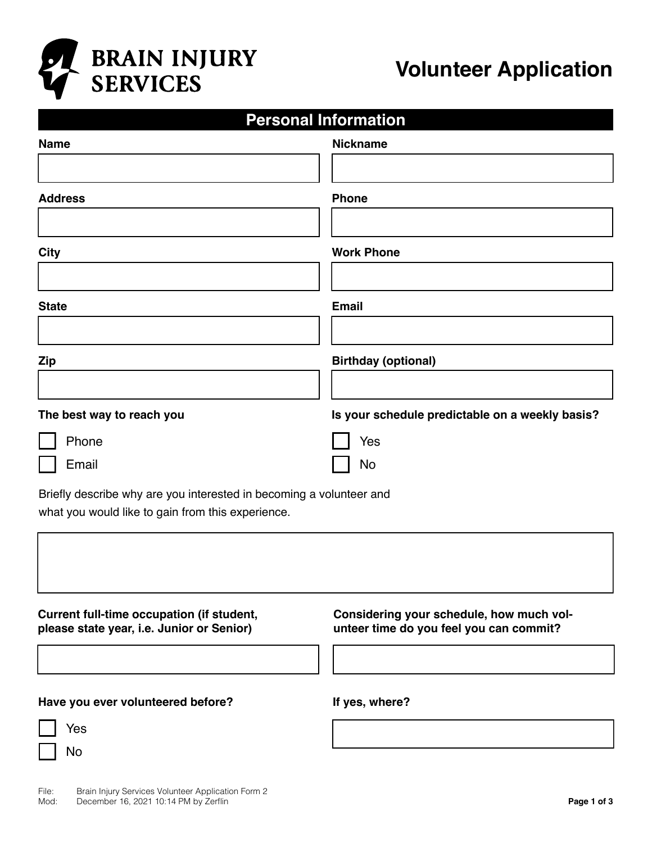

## **Personal Information**

| <b>Name</b>                                                         | <b>Nickname</b>                                 |
|---------------------------------------------------------------------|-------------------------------------------------|
|                                                                     |                                                 |
| <b>Address</b>                                                      | <b>Phone</b>                                    |
|                                                                     |                                                 |
| <b>City</b>                                                         | <b>Work Phone</b>                               |
|                                                                     |                                                 |
| <b>State</b>                                                        | <b>Email</b>                                    |
|                                                                     |                                                 |
| <b>Zip</b>                                                          | <b>Birthday (optional)</b>                      |
|                                                                     |                                                 |
| The best way to reach you                                           | Is your schedule predictable on a weekly basis? |
| Phone                                                               | Yes                                             |
| Email                                                               | No                                              |
| Briefly describe why are you interested in becoming a volunteer and |                                                 |
| what you would like to gain from this experience.                   |                                                 |
|                                                                     |                                                 |
|                                                                     |                                                 |
| Current full-time occupation (if student,                           | Considering your schedule, how much vol-        |
| please state year, i.e. Junior or Senior)                           | unteer time do you feel you can commit?         |

## **Have you ever volunteered before? If yes, where?**

| Yes |
|-----|
| ٩o  |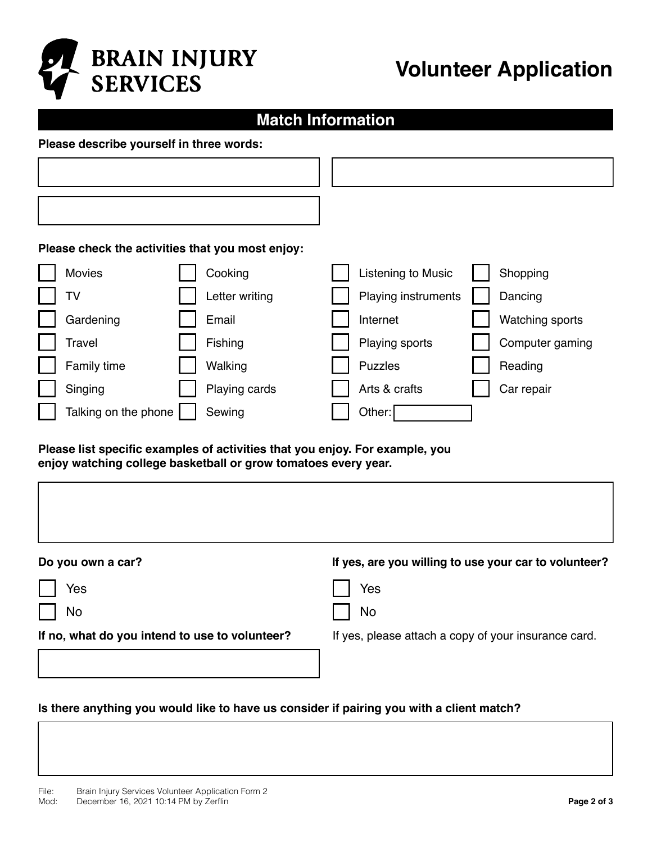

# **Volunteer Application**

## **Match Information**

#### **Please describe yourself in three words:**

|  |  |  | Please check the activities that you most enjoy: |  |
|--|--|--|--------------------------------------------------|--|
|  |  |  |                                                  |  |

| Movies               | Cooking        | Listening to Music  | Shopping        |
|----------------------|----------------|---------------------|-----------------|
| TV                   | Letter writing | Playing instruments | Dancing         |
| Gardening            | Email          | Internet            | Watching sports |
| Travel               | Fishing        | Playing sports      | Computer gaming |
| Family time          | Walking        | <b>Puzzles</b>      | Reading         |
| Singing              | Playing cards  | Arts & crafts       | Car repair      |
| Talking on the phone | Sewing         | Other:              |                 |

#### **Please list specific examples of activities that you enjoy. For example, you enjoy watching college basketball or grow tomatoes every year.**

| Do you own a car?                              | If yes, are you willing to use your car to volunteer? |
|------------------------------------------------|-------------------------------------------------------|
| Yes                                            | Yes                                                   |
| No                                             | No                                                    |
| If no, what do you intend to use to volunteer? | If yes, please attach a copy of your insurance card.  |
|                                                |                                                       |

### **Is there anything you would like to have us consider if pairing you with a client match?**